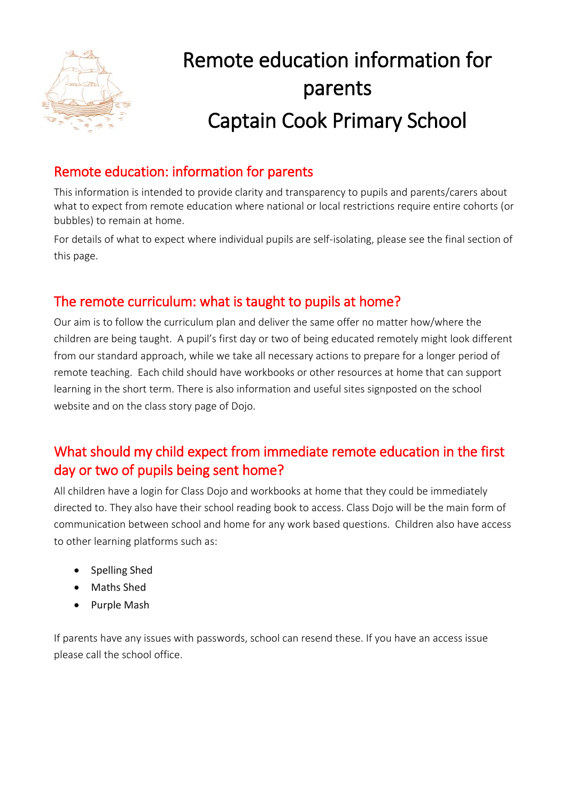

# Remote education information for parents Captain Cook Primary School

## Remote education: information for parents

This information is intended to provide clarity and transparency to pupils and parents/carers about what to expect from remote education where national or local restrictions require entire cohorts (or bubbles) to remain at home.

For details of what to expect where individual pupils are self-isolating, please see the final section of this page.

## The remote curriculum: what is taught to pupils at home?

Our aim is to follow the curriculum plan and deliver the same offer no matter how/where the children are being taught. A pupil's first day or two of being educated remotely might look different from our standard approach, while we take all necessary actions to prepare for a longer period of remote teaching. Each child should have workbooks or other resources at home that can support learning in the short term. There is also information and useful sites signposted on the school website and on the class story page of Dojo.

## What should my child expect from immediate remote education in the first day or two of pupils being sent home?

All children have a login for Class Dojo and workbooks at home that they could be immediately directed to. They also have their school reading book to access. Class Dojo will be the main form of communication between school and home for any work based questions. Children also have access to other learning platforms such as:

- Spelling Shed
- Maths Shed
- Purple Mash

If parents have any issues with passwords, school can resend these. If you have an access issue please call the school office.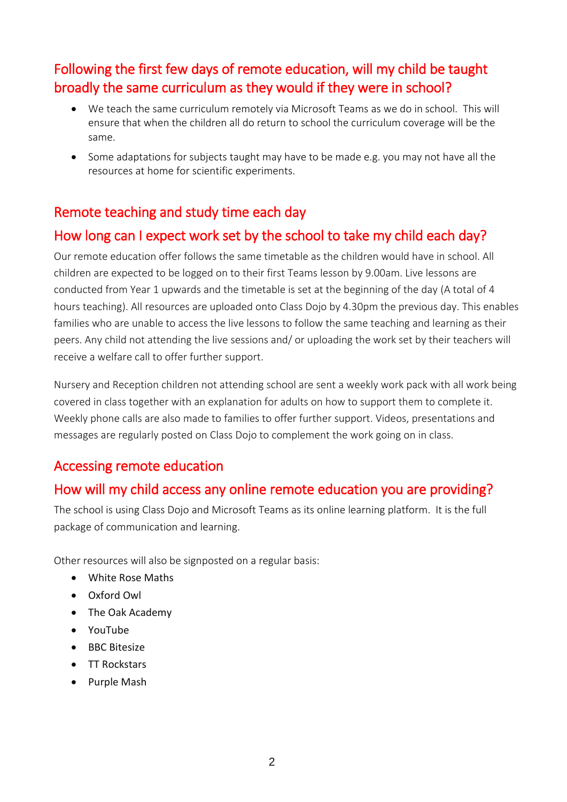## Following the first few days of remote education, will my child be taught broadly the same curriculum as they would if they were in school?

- We teach the same curriculum remotely via Microsoft Teams as we do in school. This will ensure that when the children all do return to school the curriculum coverage will be the same.
- Some adaptations for subjects taught may have to be made e.g. you may not have all the resources at home for scientific experiments.

#### Remote teaching and study time each day

## How long can I expect work set by the school to take my child each day?

Our remote education offer follows the same timetable as the children would have in school. All children are expected to be logged on to their first Teams lesson by 9.00am. Live lessons are conducted from Year 1 upwards and the timetable is set at the beginning of the day (A total of 4 hours teaching). All resources are uploaded onto Class Dojo by 4.30pm the previous day. This enables families who are unable to access the live lessons to follow the same teaching and learning as their peers. Any child not attending the live sessions and/ or uploading the work set by their teachers will receive a welfare call to offer further support.

Nursery and Reception children not attending school are sent a weekly work pack with all work being covered in class together with an explanation for adults on how to support them to complete it. Weekly phone calls are also made to families to offer further support. Videos, presentations and messages are regularly posted on Class Dojo to complement the work going on in class.

#### Accessing remote education

#### How will my child access any online remote education you are providing?

The school is using Class Dojo and Microsoft Teams as its online learning platform. It is the full package of communication and learning.

Other resources will also be signposted on a regular basis:

- White Rose Maths
- Oxford Owl
- The Oak Academy
- YouTube
- $\bullet$  BBC Bitesize
- TT Rockstars
- Purple Mash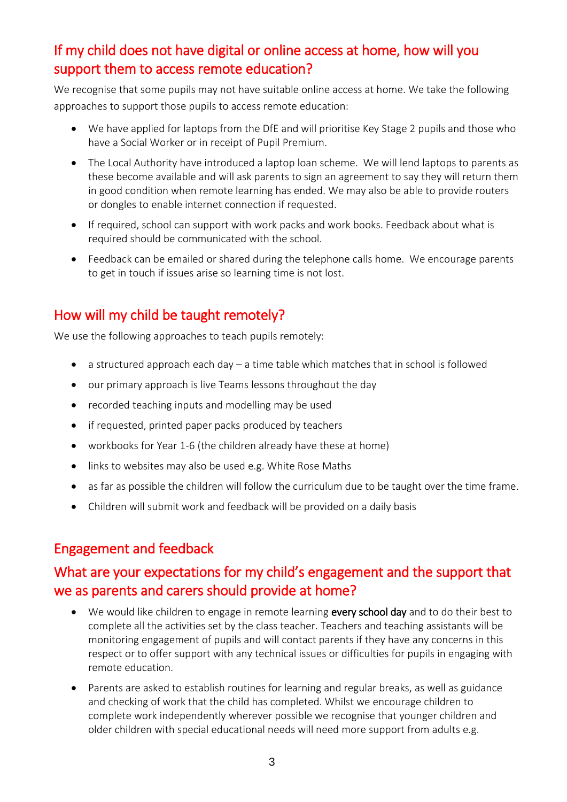## If my child does not have digital or online access at home, how will you support them to access remote education?

We recognise that some pupils may not have suitable online access at home. We take the following approaches to support those pupils to access remote education:

- We have applied for laptops from the DfE and will prioritise Key Stage 2 pupils and those who have a Social Worker or in receipt of Pupil Premium.
- The Local Authority have introduced a laptop loan scheme. We will lend laptops to parents as these become available and will ask parents to sign an agreement to say they will return them in good condition when remote learning has ended. We may also be able to provide routers or dongles to enable internet connection if requested.
- If required, school can support with work packs and work books. Feedback about what is required should be communicated with the school.
- Feedback can be emailed or shared during the telephone calls home. We encourage parents to get in touch if issues arise so learning time is not lost.

## How will my child be taught remotely?

We use the following approaches to teach pupils remotely:

- a structured approach each day a time table which matches that in school is followed
- our primary approach is live Teams lessons throughout the day
- recorded teaching inputs and modelling may be used
- if requested, printed paper packs produced by teachers
- workbooks for Year 1-6 (the children already have these at home)
- links to websites may also be used e.g. White Rose Maths
- as far as possible the children will follow the curriculum due to be taught over the time frame.
- Children will submit work and feedback will be provided on a daily basis

#### Engagement and feedback

## What are your expectations for my child's engagement and the support that we as parents and carers should provide at home?

- We would like children to engage in remote learning every school day and to do their best to complete all the activities set by the class teacher. Teachers and teaching assistants will be monitoring engagement of pupils and will contact parents if they have any concerns in this respect or to offer support with any technical issues or difficulties for pupils in engaging with remote education.
- Parents are asked to establish routines for learning and regular breaks, as well as guidance and checking of work that the child has completed. Whilst we encourage children to complete work independently wherever possible we recognise that younger children and older children with special educational needs will need more support from adults e.g.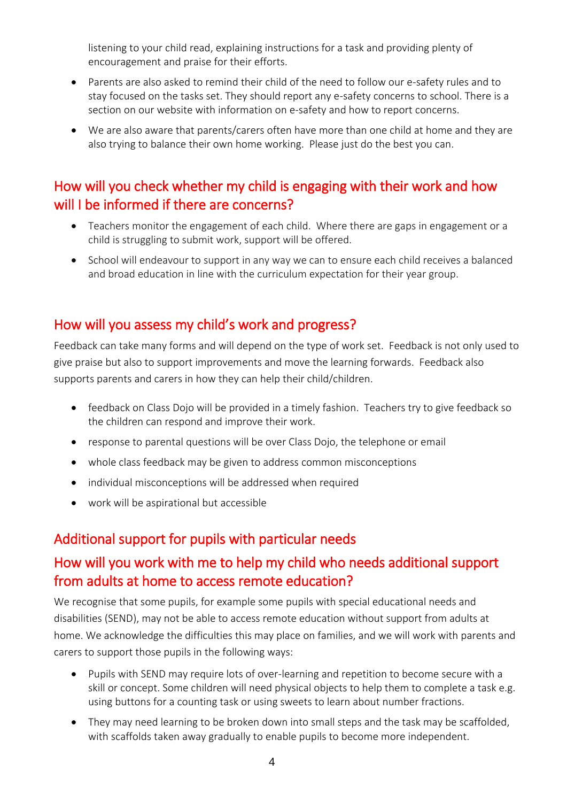listening to your child read, explaining instructions for a task and providing plenty of encouragement and praise for their efforts.

- Parents are also asked to remind their child of the need to follow our e-safety rules and to stay focused on the tasks set. They should report any e-safety concerns to school. There is a section on our website with information on e-safety and how to report concerns.
- We are also aware that parents/carers often have more than one child at home and they are also trying to balance their own home working. Please just do the best you can.

## How will you check whether my child is engaging with their work and how will I be informed if there are concerns?

- Teachers monitor the engagement of each child. Where there are gaps in engagement or a child is struggling to submit work, support will be offered.
- School will endeavour to support in any way we can to ensure each child receives a balanced and broad education in line with the curriculum expectation for their year group.

#### How will you assess my child's work and progress?

Feedback can take many forms and will depend on the type of work set. Feedback is not only used to give praise but also to support improvements and move the learning forwards. Feedback also supports parents and carers in how they can help their child/children.

- feedback on Class Dojo will be provided in a timely fashion. Teachers try to give feedback so the children can respond and improve their work.
- response to parental questions will be over Class Dojo, the telephone or email
- whole class feedback may be given to address common misconceptions
- individual misconceptions will be addressed when required
- work will be aspirational but accessible

#### Additional support for pupils with particular needs

## How will you work with me to help my child who needs additional support from adults at home to access remote education?

We recognise that some pupils, for example some pupils with special educational needs and disabilities (SEND), may not be able to access remote education without support from adults at home. We acknowledge the difficulties this may place on families, and we will work with parents and carers to support those pupils in the following ways:

- Pupils with SEND may require lots of over-learning and repetition to become secure with a skill or concept. Some children will need physical objects to help them to complete a task e.g. using buttons for a counting task or using sweets to learn about number fractions.
- They may need learning to be broken down into small steps and the task may be scaffolded, with scaffolds taken away gradually to enable pupils to become more independent.